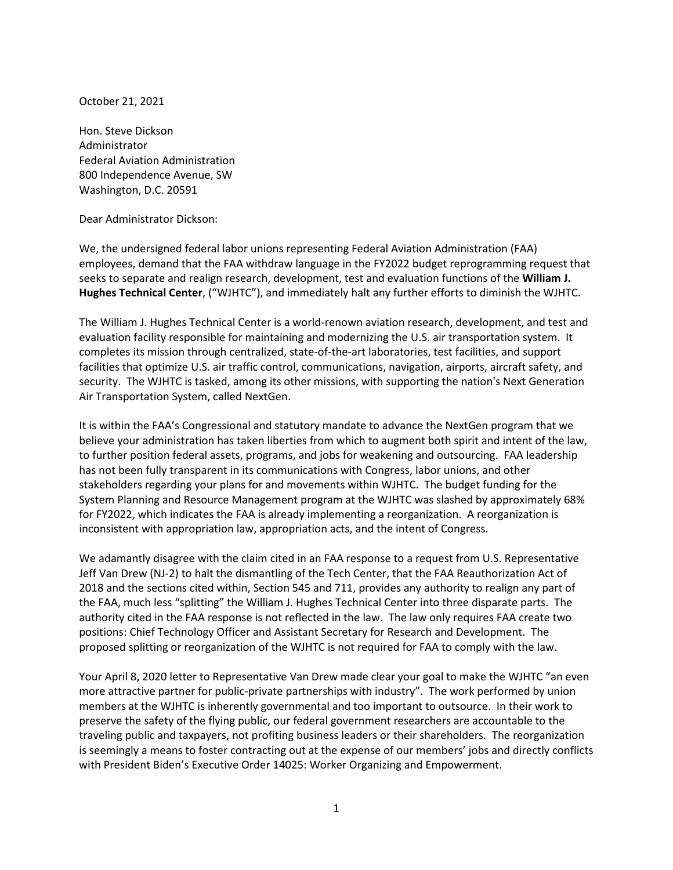October 21, 2021

Hon. Steve Dickson Administrator Federal Aviation Administration 800 Independence Avenue, SW Washington, D.C. 20591

Dear Administrator Dickson:

We, the undersigned federal labor unions representing Federal Aviation Administration (FAA) employees, demand that the FAA withdraw language in the FY2022 budget reprogramming request that seeks to separate and realign research, development, test and evaluation functions of the **William J. Hughes Technical Center**, ("WJHTC"), and immediately halt any further efforts to diminish the WJHTC.

The William J. Hughes Technical Center is a world-renown aviation research, development, and test and evaluation facility responsible for maintaining and modernizing the U.S. air transportation system. It completes its mission through centralized, state-of-the-art laboratories, test facilities, and support facilities that optimize U.S. air traffic control, communications, navigation, airports, aircraft safety, and security. The WJHTC is tasked, among its other missions, with supporting the nation's Next Generation Air Transportation System, called NextGen.

It is within the FAA's Congressional and statutory mandate to advance the NextGen program that we believe your administration has taken liberties from which to augment both spirit and intent of the law, to further position federal assets, programs, and jobs for weakening and outsourcing. FAA leadership has not been fully transparent in its communications with Congress, labor unions, and other stakeholders regarding your plans for and movements within WJHTC. The budget funding for the System Planning and Resource Management program at the WJHTC was slashed by approximately 68% for FY2022, which indicates the FAA is already implementing a reorganization. A reorganization is inconsistent with appropriation law, appropriation acts, and the intent of Congress.

We adamantly disagree with the claim cited in an FAA response to a request from U.S. Representative Jeff Van Drew (NJ-2) to halt the dismantling of the Tech Center, that the FAA Reauthorization Act of 2018 and the sections cited within, Section 545 and 711, provides any authority to realign any part of the FAA, much less "splitting" the William J. Hughes Technical Center into three disparate parts. The authority cited in the FAA response is not reflected in the law. The law only requires FAA create two positions: Chief Technology Officer and Assistant Secretary for Research and Development. The proposed splitting or reorganization of the WJHTC is not required for FAA to comply with the law.

Your April 8, 2020 letter to Representative Van Drew made clear your goal to make the WJHTC "an even more attractive partner for public-private partnerships with industry". The work performed by union members at the WJHTC is inherently governmental and too important to outsource. In their work to preserve the safety of the flying public, our federal government researchers are accountable to the traveling public and taxpayers, not profiting business leaders or their shareholders. The reorganization is seemingly a means to foster contracting out at the expense of our members' jobs and directly conflicts with President Biden's Executive Order 14025: Worker Organizing and Empowerment.